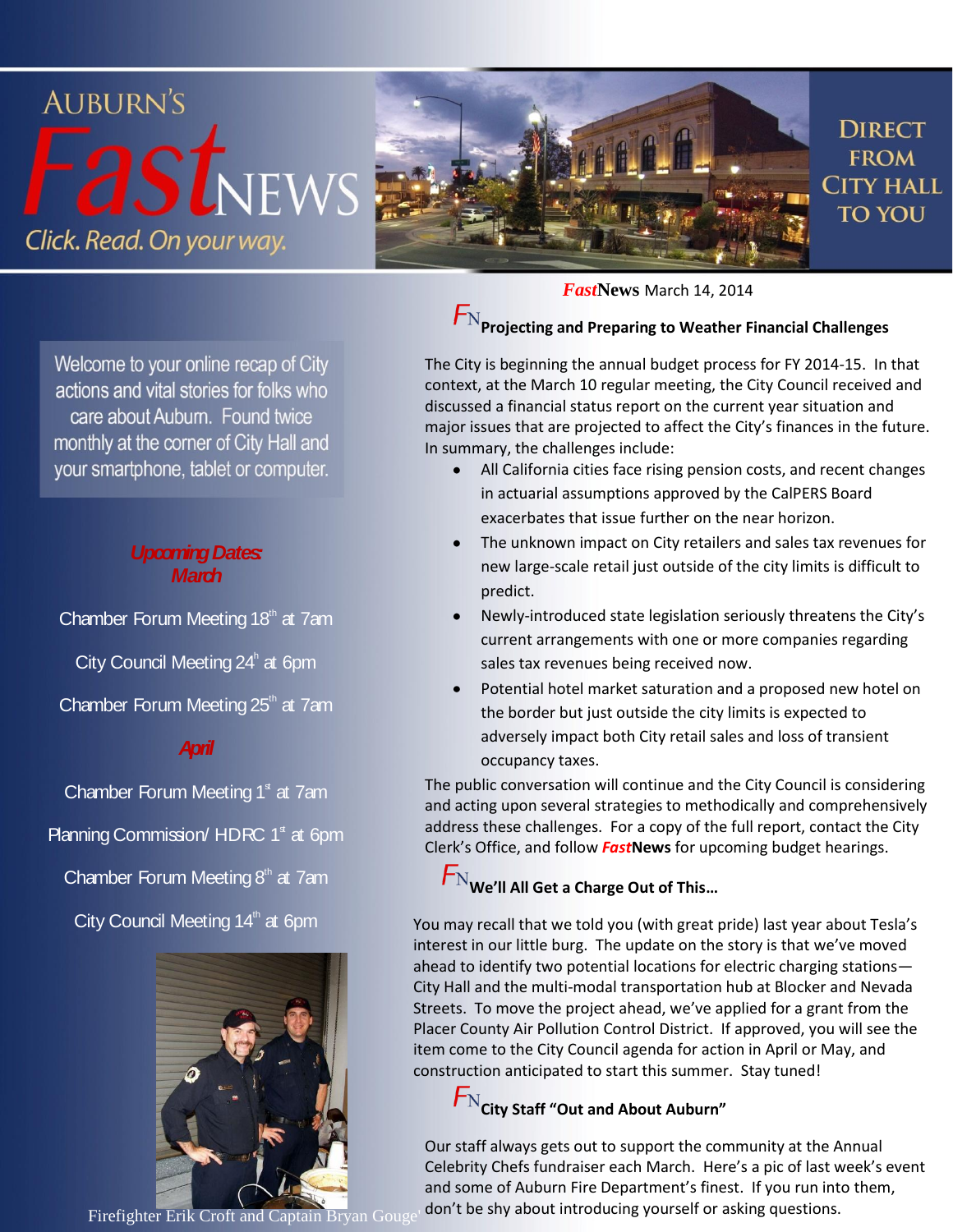

Welcome to your online recap of City actions and vital stories for folks who care about Auburn. Found twice monthly at the corner of City Hall and your smartphone, tablet or computer.

#### *Upcoming Dates: March*

Chamber Forum Meeting  $18<sup>th</sup>$  at 7am City Council Meeting 24<sup>h</sup> at 6pm Chamber Forum Meeting  $25<sup>th</sup>$  at 7am

### *April*

Chamber Forum Meeting  $1<sup>s</sup>$  at 7am Planning Commission/ HDRC  $1<sup>s</sup>$  at 6pm

Chamber Forum Meeting  $8<sup>th</sup>$  at 7am

City Council Meeting  $14<sup>th</sup>$  at 6pm



*Fast***News** March 14, 2014

# $\boldsymbol{\mathsf{F}}_\text{N}$ Projecting and Preparing to Weather Financial Challenges

The City is beginning the annual budget process for FY 2014-15. In that context, at the March 10 regular meeting, the City Council received and discussed a financial status report on the current year situation and major issues that are projected to affect the City's finances in the future. In summary, the challenges include:

- All California cities face rising pension costs, and recent changes  $\bullet$ in actuarial assumptions approved by the CalPERS Board exacerbates that issue further on the near horizon.
- The unknown impact on City retailers and sales tax revenues for new large-scale retail just outside of the city limits is difficult to predict.
- Newly-introduced state legislation seriously threatens the City's current arrangements with one or more companies regarding sales tax revenues being received now.
- Potential hotel market saturation and a proposed new hotel on the border but just outside the city limits is expected to adversely impact both City retail sales and loss of transient occupancy taxes.

The public conversation will continue and the City Council is considering and acting upon several strategies to methodically and comprehensively address these challenges. For a copy of the full report, contact the City Clerk's Office, and follow *Fast***News** for upcoming budget hearings.

### **We'll All Get a Charge Out of This…**

You may recall that we told you (with great pride) last year about Tesla's interest in our little burg. The update on the story is that we've moved ahead to identify two potential locations for electric charging stations— City Hall and the multi-modal transportation hub at Blocker and Nevada Streets. To move the project ahead, we've applied for a grant from the Placer County Air Pollution Control District. If approved, you will see the item come to the City Council agenda for action in April or May, and construction anticipated to start this summer. Stay tuned!

## **City Staff "Out and About Auburn"**

Our staff always gets out to support the community at the Annual Celebrity Chefs fundraiser each March. Here's a pic of last week's event and some of Auburn Fire Department's finest. If you run into them,

Firefighter Erik Croft and Captain Bryan Gouge' don't be shy about introducing yourself or asking questions.